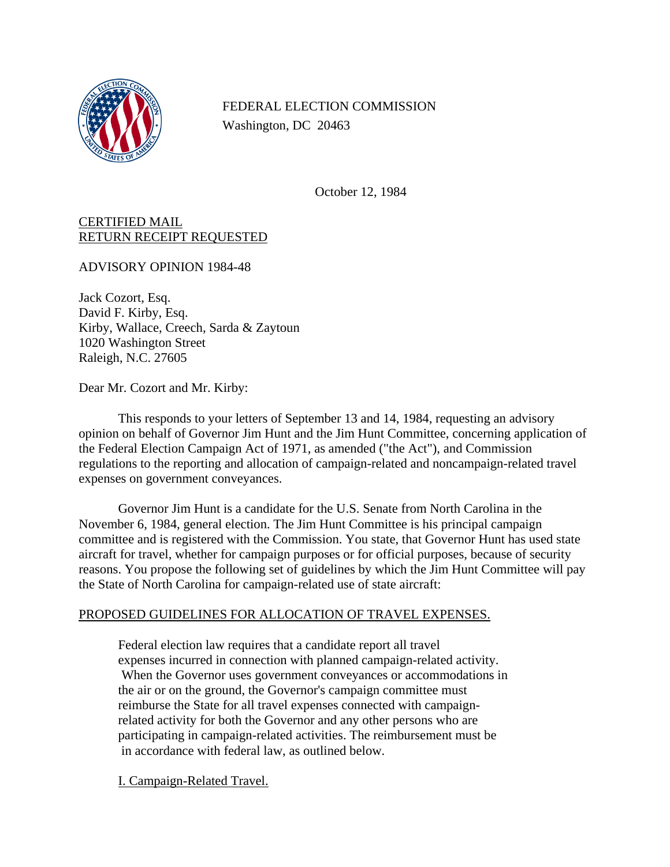

FEDERAL ELECTION COMMISSION Washington, DC 20463

October 12, 1984

## CERTIFIED MAIL RETURN RECEIPT REQUESTED

ADVISORY OPINION 1984-48

Jack Cozort, Esq. David F. Kirby, Esq. Kirby, Wallace, Creech, Sarda & Zaytoun 1020 Washington Street Raleigh, N.C. 27605

Dear Mr. Cozort and Mr. Kirby:

This responds to your letters of September 13 and 14, 1984, requesting an advisory opinion on behalf of Governor Jim Hunt and the Jim Hunt Committee, concerning application of the Federal Election Campaign Act of 1971, as amended ("the Act"), and Commission regulations to the reporting and allocation of campaign-related and noncampaign-related travel expenses on government conveyances.

Governor Jim Hunt is a candidate for the U.S. Senate from North Carolina in the November 6, 1984, general election. The Jim Hunt Committee is his principal campaign committee and is registered with the Commission. You state, that Governor Hunt has used state aircraft for travel, whether for campaign purposes or for official purposes, because of security reasons. You propose the following set of guidelines by which the Jim Hunt Committee will pay the State of North Carolina for campaign-related use of state aircraft:

## PROPOSED GUIDELINES FOR ALLOCATION OF TRAVEL EXPENSES.

Federal election law requires that a candidate report all travel expenses incurred in connection with planned campaign-related activity. When the Governor uses government conveyances or accommodations in the air or on the ground, the Governor's campaign committee must reimburse the State for all travel expenses connected with campaignrelated activity for both the Governor and any other persons who are participating in campaign-related activities. The reimbursement must be in accordance with federal law, as outlined below.

I. Campaign-Related Travel.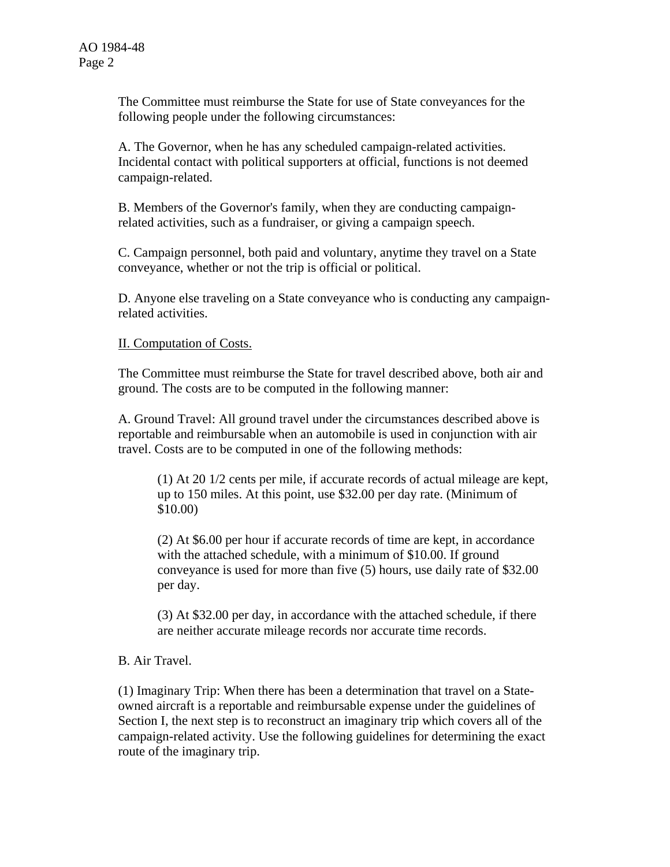The Committee must reimburse the State for use of State conveyances for the following people under the following circumstances:

A. The Governor, when he has any scheduled campaign-related activities. Incidental contact with political supporters at official, functions is not deemed campaign-related.

B. Members of the Governor's family, when they are conducting campaignrelated activities, such as a fundraiser, or giving a campaign speech.

C. Campaign personnel, both paid and voluntary, anytime they travel on a State conveyance, whether or not the trip is official or political.

D. Anyone else traveling on a State conveyance who is conducting any campaignrelated activities.

II. Computation of Costs.

The Committee must reimburse the State for travel described above, both air and ground. The costs are to be computed in the following manner:

A. Ground Travel: All ground travel under the circumstances described above is reportable and reimbursable when an automobile is used in conjunction with air travel. Costs are to be computed in one of the following methods:

(1) At 20 1/2 cents per mile, if accurate records of actual mileage are kept, up to 150 miles. At this point, use \$32.00 per day rate. (Minimum of \$10.00)

(2) At \$6.00 per hour if accurate records of time are kept, in accordance with the attached schedule, with a minimum of \$10.00. If ground conveyance is used for more than five (5) hours, use daily rate of \$32.00 per day.

(3) At \$32.00 per day, in accordance with the attached schedule, if there are neither accurate mileage records nor accurate time records.

## B. Air Travel.

(1) Imaginary Trip: When there has been a determination that travel on a Stateowned aircraft is a reportable and reimbursable expense under the guidelines of Section I, the next step is to reconstruct an imaginary trip which covers all of the campaign-related activity. Use the following guidelines for determining the exact route of the imaginary trip.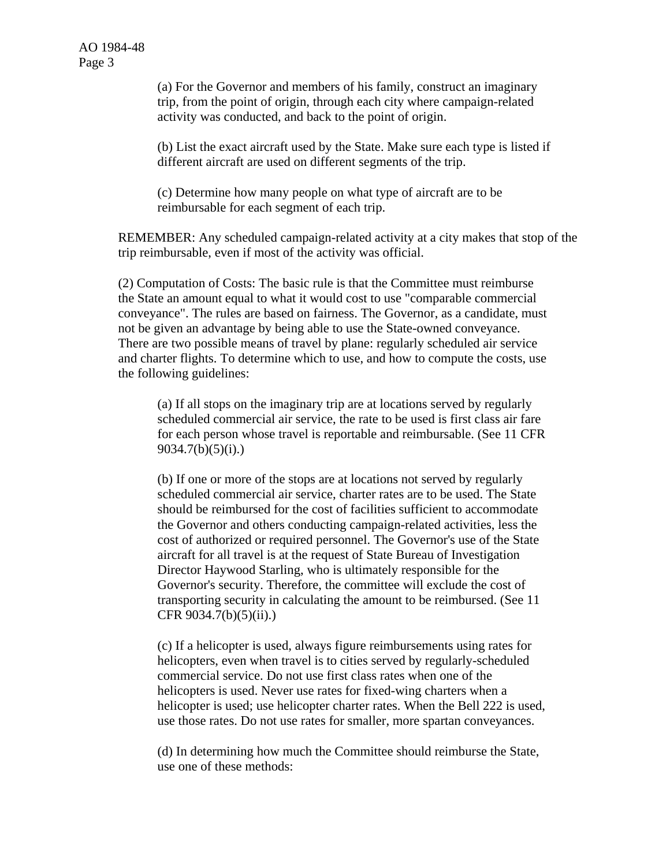(a) For the Governor and members of his family, construct an imaginary trip, from the point of origin, through each city where campaign-related activity was conducted, and back to the point of origin.

(b) List the exact aircraft used by the State. Make sure each type is listed if different aircraft are used on different segments of the trip.

(c) Determine how many people on what type of aircraft are to be reimbursable for each segment of each trip.

REMEMBER: Any scheduled campaign-related activity at a city makes that stop of the trip reimbursable, even if most of the activity was official.

(2) Computation of Costs: The basic rule is that the Committee must reimburse the State an amount equal to what it would cost to use "comparable commercial conveyance". The rules are based on fairness. The Governor, as a candidate, must not be given an advantage by being able to use the State-owned conveyance. There are two possible means of travel by plane: regularly scheduled air service and charter flights. To determine which to use, and how to compute the costs, use the following guidelines:

(a) If all stops on the imaginary trip are at locations served by regularly scheduled commercial air service, the rate to be used is first class air fare for each person whose travel is reportable and reimbursable. (See 11 CFR 9034.7(b)(5)(i).)

(b) If one or more of the stops are at locations not served by regularly scheduled commercial air service, charter rates are to be used. The State should be reimbursed for the cost of facilities sufficient to accommodate the Governor and others conducting campaign-related activities, less the cost of authorized or required personnel. The Governor's use of the State aircraft for all travel is at the request of State Bureau of Investigation Director Haywood Starling, who is ultimately responsible for the Governor's security. Therefore, the committee will exclude the cost of transporting security in calculating the amount to be reimbursed. (See 11 CFR 9034.7(b)(5)(ii).)

(c) If a helicopter is used, always figure reimbursements using rates for helicopters, even when travel is to cities served by regularly-scheduled commercial service. Do not use first class rates when one of the helicopters is used. Never use rates for fixed-wing charters when a helicopter is used; use helicopter charter rates. When the Bell 222 is used, use those rates. Do not use rates for smaller, more spartan conveyances.

(d) In determining how much the Committee should reimburse the State, use one of these methods: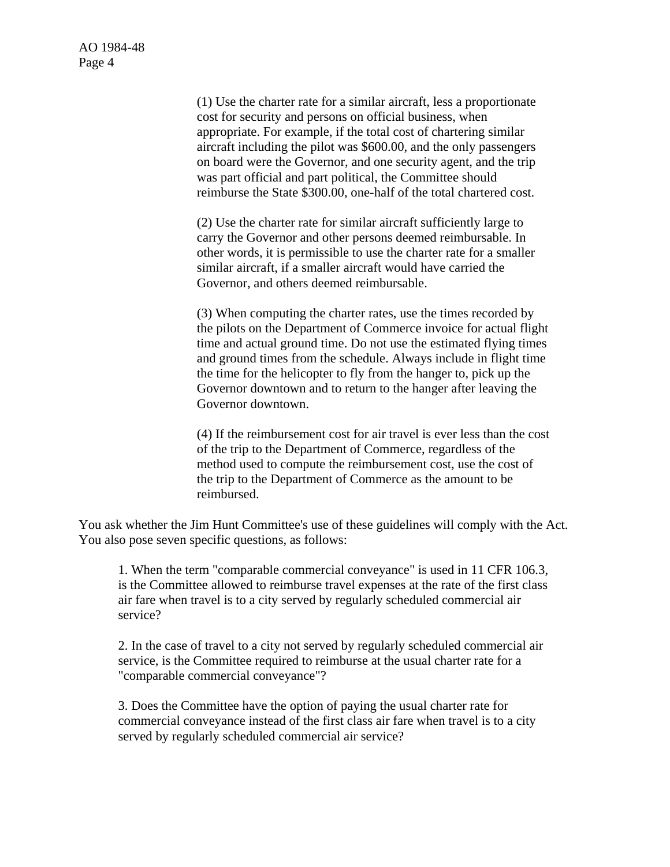> (1) Use the charter rate for a similar aircraft, less a proportionate cost for security and persons on official business, when appropriate. For example, if the total cost of chartering similar aircraft including the pilot was \$600.00, and the only passengers on board were the Governor, and one security agent, and the trip was part official and part political, the Committee should reimburse the State \$300.00, one-half of the total chartered cost.

> (2) Use the charter rate for similar aircraft sufficiently large to carry the Governor and other persons deemed reimbursable. In other words, it is permissible to use the charter rate for a smaller similar aircraft, if a smaller aircraft would have carried the Governor, and others deemed reimbursable.

(3) When computing the charter rates, use the times recorded by the pilots on the Department of Commerce invoice for actual flight time and actual ground time. Do not use the estimated flying times and ground times from the schedule. Always include in flight time the time for the helicopter to fly from the hanger to, pick up the Governor downtown and to return to the hanger after leaving the Governor downtown.

(4) If the reimbursement cost for air travel is ever less than the cost of the trip to the Department of Commerce, regardless of the method used to compute the reimbursement cost, use the cost of the trip to the Department of Commerce as the amount to be reimbursed.

You ask whether the Jim Hunt Committee's use of these guidelines will comply with the Act. You also pose seven specific questions, as follows:

1. When the term "comparable commercial conveyance" is used in 11 CFR 106.3, is the Committee allowed to reimburse travel expenses at the rate of the first class air fare when travel is to a city served by regularly scheduled commercial air service?

2. In the case of travel to a city not served by regularly scheduled commercial air service, is the Committee required to reimburse at the usual charter rate for a "comparable commercial conveyance"?

3. Does the Committee have the option of paying the usual charter rate for commercial conveyance instead of the first class air fare when travel is to a city served by regularly scheduled commercial air service?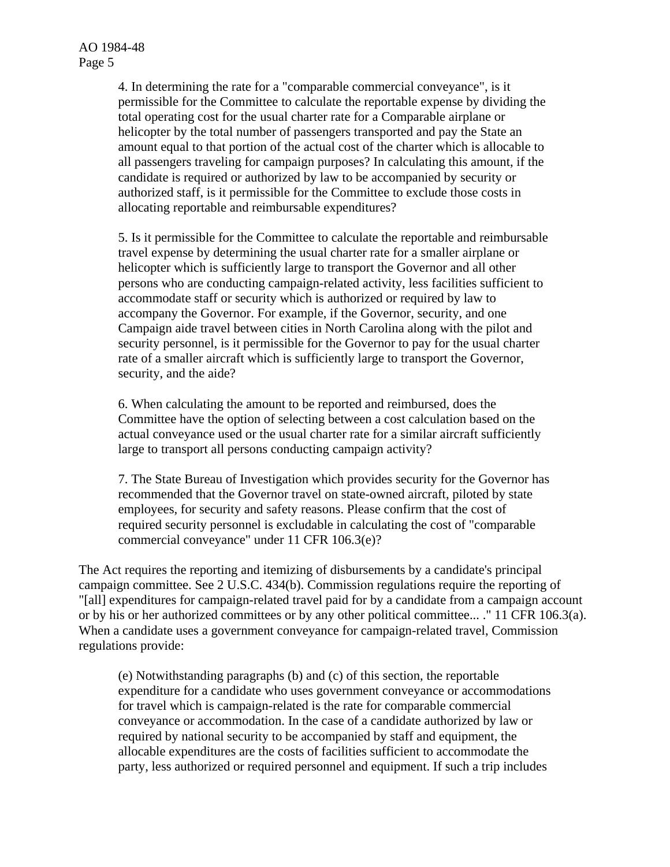4. In determining the rate for a "comparable commercial conveyance", is it permissible for the Committee to calculate the reportable expense by dividing the total operating cost for the usual charter rate for a Comparable airplane or helicopter by the total number of passengers transported and pay the State an amount equal to that portion of the actual cost of the charter which is allocable to all passengers traveling for campaign purposes? In calculating this amount, if the candidate is required or authorized by law to be accompanied by security or authorized staff, is it permissible for the Committee to exclude those costs in allocating reportable and reimbursable expenditures?

5. Is it permissible for the Committee to calculate the reportable and reimbursable travel expense by determining the usual charter rate for a smaller airplane or helicopter which is sufficiently large to transport the Governor and all other persons who are conducting campaign-related activity, less facilities sufficient to accommodate staff or security which is authorized or required by law to accompany the Governor. For example, if the Governor, security, and one Campaign aide travel between cities in North Carolina along with the pilot and security personnel, is it permissible for the Governor to pay for the usual charter rate of a smaller aircraft which is sufficiently large to transport the Governor, security, and the aide?

6. When calculating the amount to be reported and reimbursed, does the Committee have the option of selecting between a cost calculation based on the actual conveyance used or the usual charter rate for a similar aircraft sufficiently large to transport all persons conducting campaign activity?

7. The State Bureau of Investigation which provides security for the Governor has recommended that the Governor travel on state-owned aircraft, piloted by state employees, for security and safety reasons. Please confirm that the cost of required security personnel is excludable in calculating the cost of "comparable commercial conveyance" under 11 CFR 106.3(e)?

The Act requires the reporting and itemizing of disbursements by a candidate's principal campaign committee. See 2 U.S.C. 434(b). Commission regulations require the reporting of "[all] expenditures for campaign-related travel paid for by a candidate from a campaign account or by his or her authorized committees or by any other political committee... ." 11 CFR 106.3(a). When a candidate uses a government conveyance for campaign-related travel, Commission regulations provide:

(e) Notwithstanding paragraphs (b) and (c) of this section, the reportable expenditure for a candidate who uses government conveyance or accommodations for travel which is campaign-related is the rate for comparable commercial conveyance or accommodation. In the case of a candidate authorized by law or required by national security to be accompanied by staff and equipment, the allocable expenditures are the costs of facilities sufficient to accommodate the party, less authorized or required personnel and equipment. If such a trip includes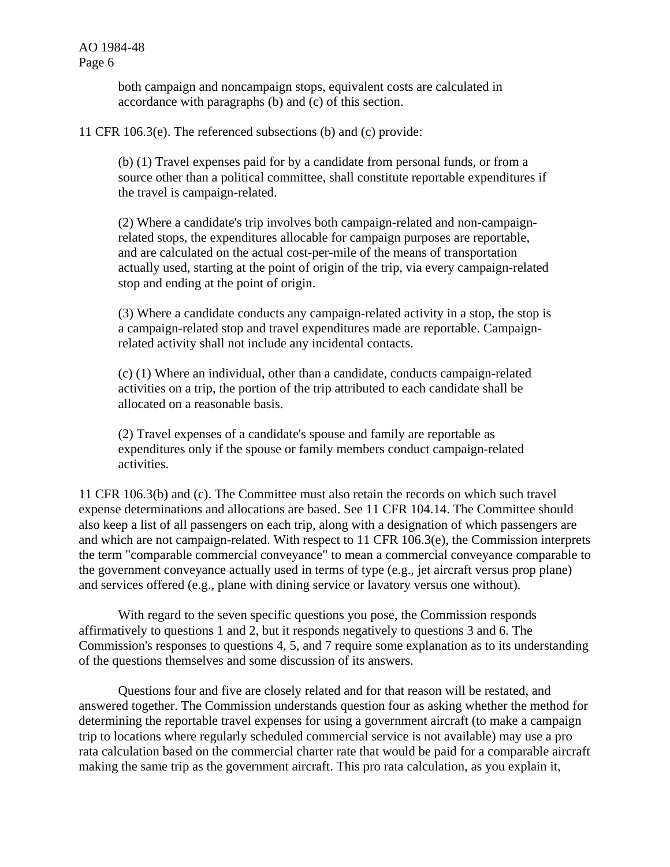> both campaign and noncampaign stops, equivalent costs are calculated in accordance with paragraphs (b) and (c) of this section.

11 CFR 106.3(e). The referenced subsections (b) and (c) provide:

(b) (1) Travel expenses paid for by a candidate from personal funds, or from a source other than a political committee, shall constitute reportable expenditures if the travel is campaign-related.

(2) Where a candidate's trip involves both campaign-related and non-campaignrelated stops, the expenditures allocable for campaign purposes are reportable, and are calculated on the actual cost-per-mile of the means of transportation actually used, starting at the point of origin of the trip, via every campaign-related stop and ending at the point of origin.

(3) Where a candidate conducts any campaign-related activity in a stop, the stop is a campaign-related stop and travel expenditures made are reportable. Campaignrelated activity shall not include any incidental contacts.

(c) (1) Where an individual, other than a candidate, conducts campaign-related activities on a trip, the portion of the trip attributed to each candidate shall be allocated on a reasonable basis.

(2) Travel expenses of a candidate's spouse and family are reportable as expenditures only if the spouse or family members conduct campaign-related activities.

11 CFR 106.3(b) and (c). The Committee must also retain the records on which such travel expense determinations and allocations are based. See 11 CFR 104.14. The Committee should also keep a list of all passengers on each trip, along with a designation of which passengers are and which are not campaign-related. With respect to 11 CFR 106.3(e), the Commission interprets the term "comparable commercial conveyance" to mean a commercial conveyance comparable to the government conveyance actually used in terms of type (e.g., jet aircraft versus prop plane) and services offered (e.g., plane with dining service or lavatory versus one without).

With regard to the seven specific questions you pose, the Commission responds affirmatively to questions 1 and 2, but it responds negatively to questions 3 and 6. The Commission's responses to questions 4, 5, and 7 require some explanation as to its understanding of the questions themselves and some discussion of its answers.

Questions four and five are closely related and for that reason will be restated, and answered together. The Commission understands question four as asking whether the method for determining the reportable travel expenses for using a government aircraft (to make a campaign trip to locations where regularly scheduled commercial service is not available) may use a pro rata calculation based on the commercial charter rate that would be paid for a comparable aircraft making the same trip as the government aircraft. This pro rata calculation, as you explain it,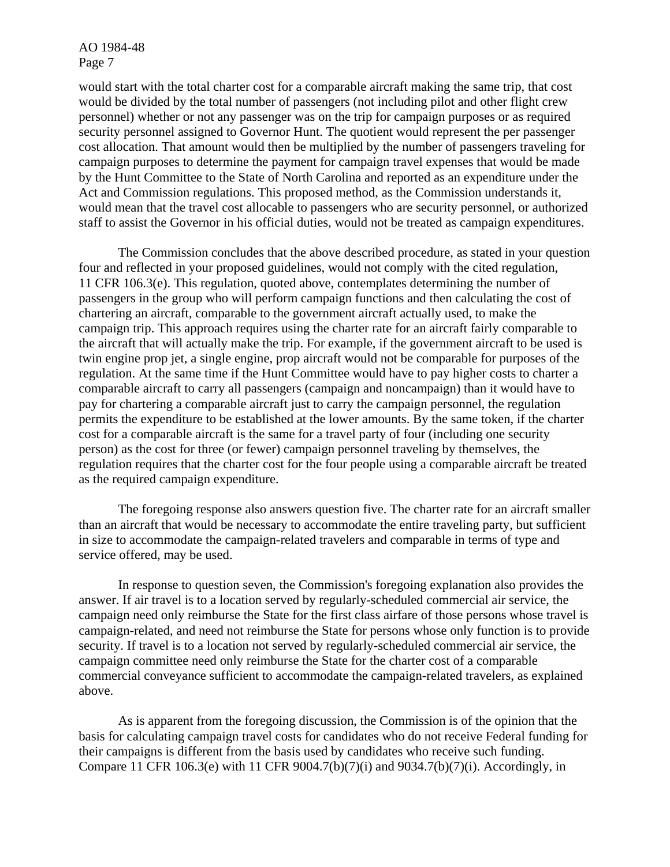would start with the total charter cost for a comparable aircraft making the same trip, that cost would be divided by the total number of passengers (not including pilot and other flight crew personnel) whether or not any passenger was on the trip for campaign purposes or as required security personnel assigned to Governor Hunt. The quotient would represent the per passenger cost allocation. That amount would then be multiplied by the number of passengers traveling for campaign purposes to determine the payment for campaign travel expenses that would be made by the Hunt Committee to the State of North Carolina and reported as an expenditure under the Act and Commission regulations. This proposed method, as the Commission understands it, would mean that the travel cost allocable to passengers who are security personnel, or authorized staff to assist the Governor in his official duties, would not be treated as campaign expenditures.

The Commission concludes that the above described procedure, as stated in your question four and reflected in your proposed guidelines, would not comply with the cited regulation, 11 CFR 106.3(e). This regulation, quoted above, contemplates determining the number of passengers in the group who will perform campaign functions and then calculating the cost of chartering an aircraft, comparable to the government aircraft actually used, to make the campaign trip. This approach requires using the charter rate for an aircraft fairly comparable to the aircraft that will actually make the trip. For example, if the government aircraft to be used is twin engine prop jet, a single engine, prop aircraft would not be comparable for purposes of the regulation. At the same time if the Hunt Committee would have to pay higher costs to charter a comparable aircraft to carry all passengers (campaign and noncampaign) than it would have to pay for chartering a comparable aircraft just to carry the campaign personnel, the regulation permits the expenditure to be established at the lower amounts. By the same token, if the charter cost for a comparable aircraft is the same for a travel party of four (including one security person) as the cost for three (or fewer) campaign personnel traveling by themselves, the regulation requires that the charter cost for the four people using a comparable aircraft be treated as the required campaign expenditure.

The foregoing response also answers question five. The charter rate for an aircraft smaller than an aircraft that would be necessary to accommodate the entire traveling party, but sufficient in size to accommodate the campaign-related travelers and comparable in terms of type and service offered, may be used.

In response to question seven, the Commission's foregoing explanation also provides the answer. If air travel is to a location served by regularly-scheduled commercial air service, the campaign need only reimburse the State for the first class airfare of those persons whose travel is campaign-related, and need not reimburse the State for persons whose only function is to provide security. If travel is to a location not served by regularly-scheduled commercial air service, the campaign committee need only reimburse the State for the charter cost of a comparable commercial conveyance sufficient to accommodate the campaign-related travelers, as explained above.

As is apparent from the foregoing discussion, the Commission is of the opinion that the basis for calculating campaign travel costs for candidates who do not receive Federal funding for their campaigns is different from the basis used by candidates who receive such funding. Compare 11 CFR 106.3(e) with 11 CFR 9004.7(b)(7)(i) and 9034.7(b)(7)(i). Accordingly, in